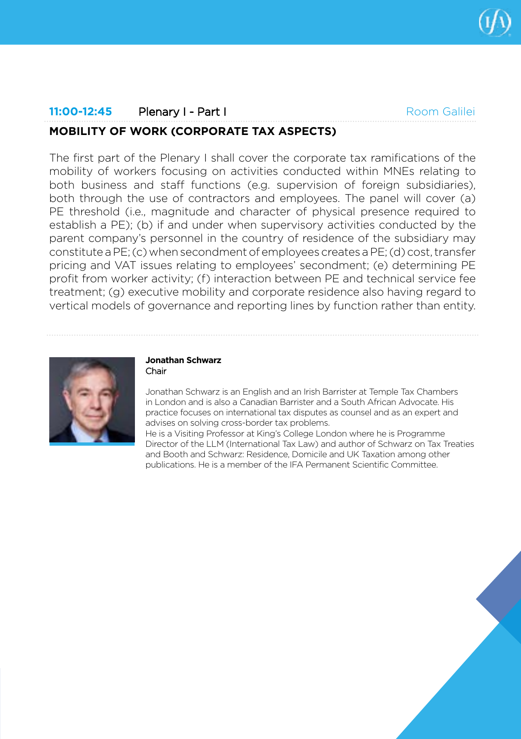

# **11:00-12:45** Plenary I - Part I **MOBILITY OF WORK (CORPORATE TAX ASPECTS)** Room Galilei

The first part of the Plenary I shall cover the corporate tax ramifications of the mobility of workers focusing on activities conducted within MNEs relating to both business and staff functions (e.g. supervision of foreign subsidiaries), both through the use of contractors and employees. The panel will cover (a) PE threshold (i.e., magnitude and character of physical presence required to establish a PE); (b) if and under when supervisory activities conducted by the parent company's personnel in the country of residence of the subsidiary may constitute a PE; (c) when secondment of employees creates a PE; (d) cost, transfer pricing and VAT issues relating to employees' secondment; (e) determining PE profit from worker activity; (f) interaction between PE and technical service fee treatment; (g) executive mobility and corporate residence also having regard to vertical models of governance and reporting lines by function rather than entity.



#### **Jonathan Schwarz** Chair

Jonathan Schwarz is an English and an Irish Barrister at Temple Tax Chambers in London and is also a Canadian Barrister and a South African Advocate. His practice focuses on international tax disputes as counsel and as an expert and advises on solving cross-border tax problems.

He is a Visiting Professor at King's College London where he is Programme Director of the LLM (International Tax Law) and author of Schwarz on Tax Treaties and Booth and Schwarz: Residence, Domicile and UK Taxation among other publications. He is a member of the IFA Permanent Scientific Committee.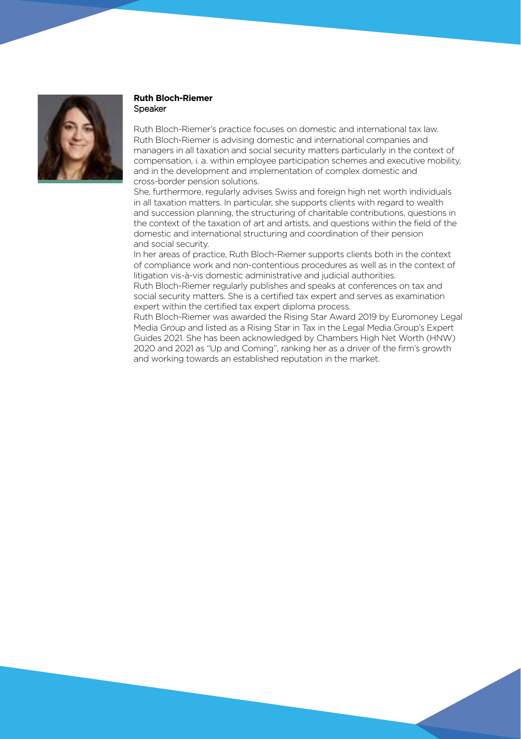

# **Ruth Bloch-Riemer** Speaker

Ruth Bloch-Riemer's practice focuses on domestic and international tax law. Ruth Bloch-Riemer is advising domestic and international companies and managers in all taxation and social security matters particularly in the context of compensation, i. a. within employee participation schemes and executive mobility, and in the development and implementation of complex domestic and cross-border pension solutions.

She, furthermore, regularly advises Swiss and foreign high net worth individuals in all taxation matters. In particular, she supports clients with regard to wealth and succession planning, the structuring of charitable contributions, questions in the context of the taxation of art and artists, and questions within the field of the domestic and international structuring and coordination of their pension and social security.

In her areas of practice, Ruth Bloch-Riemer supports clients both in the context of compliance work and non-contentious procedures as well as in the context of litigation vis-à-vis domestic administrative and judicial authorities.

Ruth Bloch-Riemer regularly publishes and speaks at conferences on tax and social security matters. She is a certified tax expert and serves as examination expert within the certified tax expert diploma process.

Ruth Bloch-Riemer was awarded the Rising Star Award 2019 by Euromoney Legal Media Group and listed as a Rising Star in Tax in the Legal Media Group's Expert Guides 2021. She has been acknowledged by Chambers High Net Worth (HNW) 2020 and 2021 as "Up and Coming", ranking her as a driver of the firm's growth and working towards an established reputation in the market.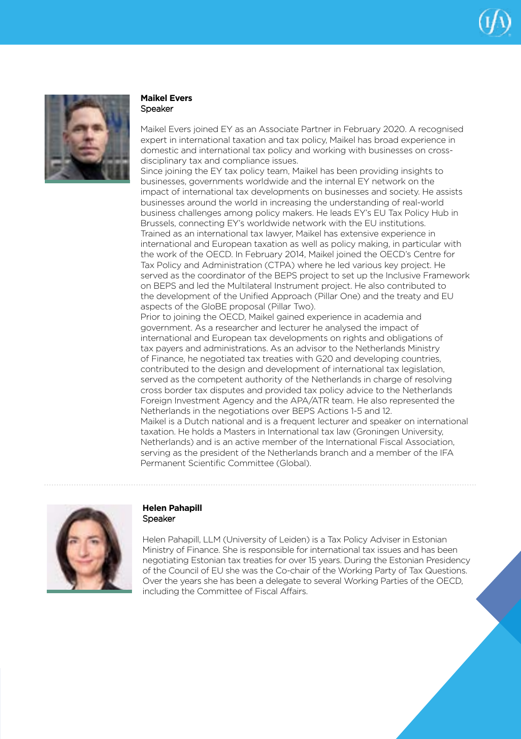



# **Maikel Evers**  Speaker

Maikel Evers joined EY as an Associate Partner in February 2020. A recognised expert in international taxation and tax policy, Maikel has broad experience in domestic and international tax policy and working with businesses on crossdisciplinary tax and compliance issues.

Since joining the EY tax policy team, Maikel has been providing insights to businesses, governments worldwide and the internal EY network on the impact of international tax developments on businesses and society. He assists businesses around the world in increasing the understanding of real-world business challenges among policy makers. He leads EY's EU Tax Policy Hub in Brussels, connecting EY's worldwide network with the EU institutions. Trained as an international tax lawyer, Maikel has extensive experience in international and European taxation as well as policy making, in particular with the work of the OECD. In February 2014, Maikel joined the OECD's Centre for Tax Policy and Administration (CTPA) where he led various key project. He served as the coordinator of the BEPS project to set up the Inclusive Framework on BEPS and led the Multilateral Instrument project. He also contributed to the development of the Unified Approach (Pillar One) and the treaty and EU aspects of the GloBE proposal (Pillar Two).

Prior to joining the OECD, Maikel gained experience in academia and government. As a researcher and lecturer he analysed the impact of international and European tax developments on rights and obligations of tax payers and administrations. As an advisor to the Netherlands Ministry of Finance, he negotiated tax treaties with G20 and developing countries, contributed to the design and development of international tax legislation, served as the competent authority of the Netherlands in charge of resolving cross border tax disputes and provided tax policy advice to the Netherlands Foreign Investment Agency and the APA/ATR team. He also represented the Netherlands in the negotiations over BEPS Actions 1-5 and 12. Maikel is a Dutch national and is a frequent lecturer and speaker on international taxation. He holds a Masters in International tax law (Groningen University, Netherlands) and is an active member of the International Fiscal Association, serving as the president of the Netherlands branch and a member of the IFA Permanent Scientific Committee (Global).



# **Helen Pahapill** Speaker

Helen Pahapill, LLM (University of Leiden) is a Tax Policy Adviser in Estonian Ministry of Finance. She is responsible for international tax issues and has been negotiating Estonian tax treaties for over 15 years. During the Estonian Presidency of the Council of EU she was the Co-chair of the Working Party of Tax Questions. Over the years she has been a delegate to several Working Parties of the OECD, including the Committee of Fiscal Affairs.